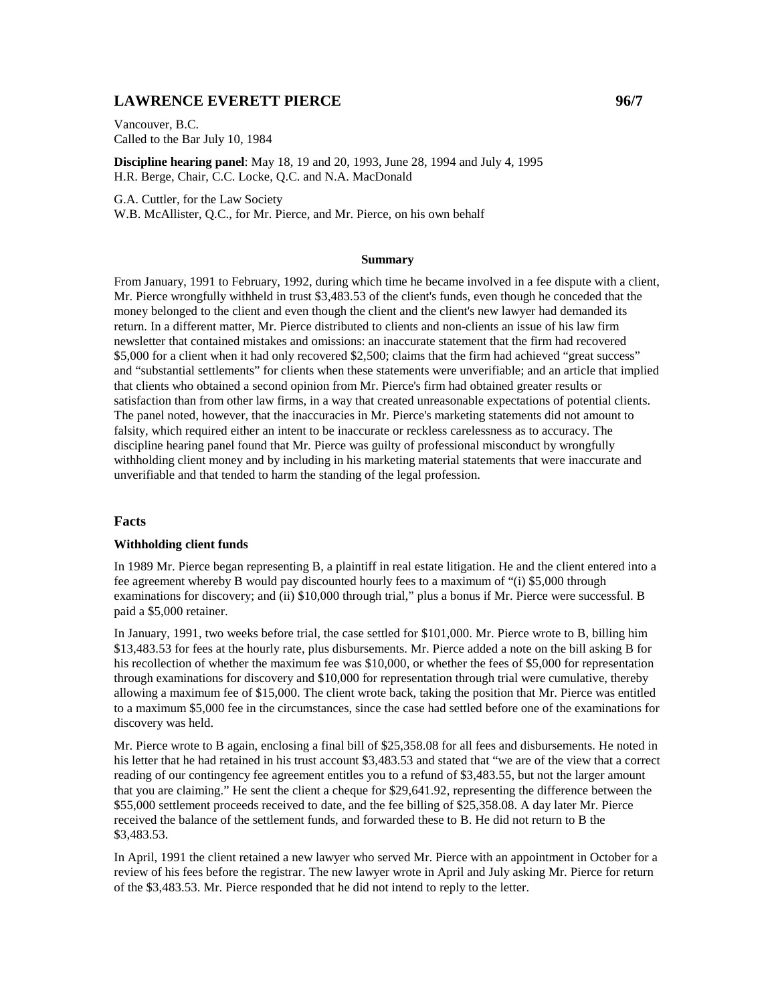# **LAWRENCE EVERETT PIERCE** 2007

Vancouver, B.C. Called to the Bar July 10, 1984

**Discipline hearing panel**: May 18, 19 and 20, 1993, June 28, 1994 and July 4, 1995 H.R. Berge, Chair, C.C. Locke, Q.C. and N.A. MacDonald

G.A. Cuttler, for the Law Society

W.B. McAllister, Q.C., for Mr. Pierce, and Mr. Pierce, on his own behalf

### **Summary**

From January, 1991 to February, 1992, during which time he became involved in a fee dispute with a client, Mr. Pierce wrongfully withheld in trust \$3,483.53 of the client's funds, even though he conceded that the money belonged to the client and even though the client and the client's new lawyer had demanded its return. In a different matter, Mr. Pierce distributed to clients and non-clients an issue of his law firm newsletter that contained mistakes and omissions: an inaccurate statement that the firm had recovered \$5,000 for a client when it had only recovered \$2,500; claims that the firm had achieved "great success" and "substantial settlements" for clients when these statements were unverifiable; and an article that implied that clients who obtained a second opinion from Mr. Pierce's firm had obtained greater results or satisfaction than from other law firms, in a way that created unreasonable expectations of potential clients. The panel noted, however, that the inaccuracies in Mr. Pierce's marketing statements did not amount to falsity, which required either an intent to be inaccurate or reckless carelessness as to accuracy. The discipline hearing panel found that Mr. Pierce was guilty of professional misconduct by wrongfully withholding client money and by including in his marketing material statements that were inaccurate and unverifiable and that tended to harm the standing of the legal profession.

#### **Facts**

### **Withholding client funds**

In 1989 Mr. Pierce began representing B, a plaintiff in real estate litigation. He and the client entered into a fee agreement whereby B would pay discounted hourly fees to a maximum of "(i) \$5,000 through examinations for discovery; and (ii) \$10,000 through trial," plus a bonus if Mr. Pierce were successful. B paid a \$5,000 retainer.

In January, 1991, two weeks before trial, the case settled for \$101,000. Mr. Pierce wrote to B, billing him \$13,483.53 for fees at the hourly rate, plus disbursements. Mr. Pierce added a note on the bill asking B for his recollection of whether the maximum fee was \$10,000, or whether the fees of \$5,000 for representation through examinations for discovery and \$10,000 for representation through trial were cumulative, thereby allowing a maximum fee of \$15,000. The client wrote back, taking the position that Mr. Pierce was entitled to a maximum \$5,000 fee in the circumstances, since the case had settled before one of the examinations for discovery was held.

Mr. Pierce wrote to B again, enclosing a final bill of \$25,358.08 for all fees and disbursements. He noted in his letter that he had retained in his trust account \$3,483.53 and stated that "we are of the view that a correct reading of our contingency fee agreement entitles you to a refund of \$3,483.55, but not the larger amount that you are claiming." He sent the client a cheque for \$29,641.92, representing the difference between the \$55,000 settlement proceeds received to date, and the fee billing of \$25,358.08. A day later Mr. Pierce received the balance of the settlement funds, and forwarded these to B. He did not return to B the \$3,483.53.

In April, 1991 the client retained a new lawyer who served Mr. Pierce with an appointment in October for a review of his fees before the registrar. The new lawyer wrote in April and July asking Mr. Pierce for return of the \$3,483.53. Mr. Pierce responded that he did not intend to reply to the letter.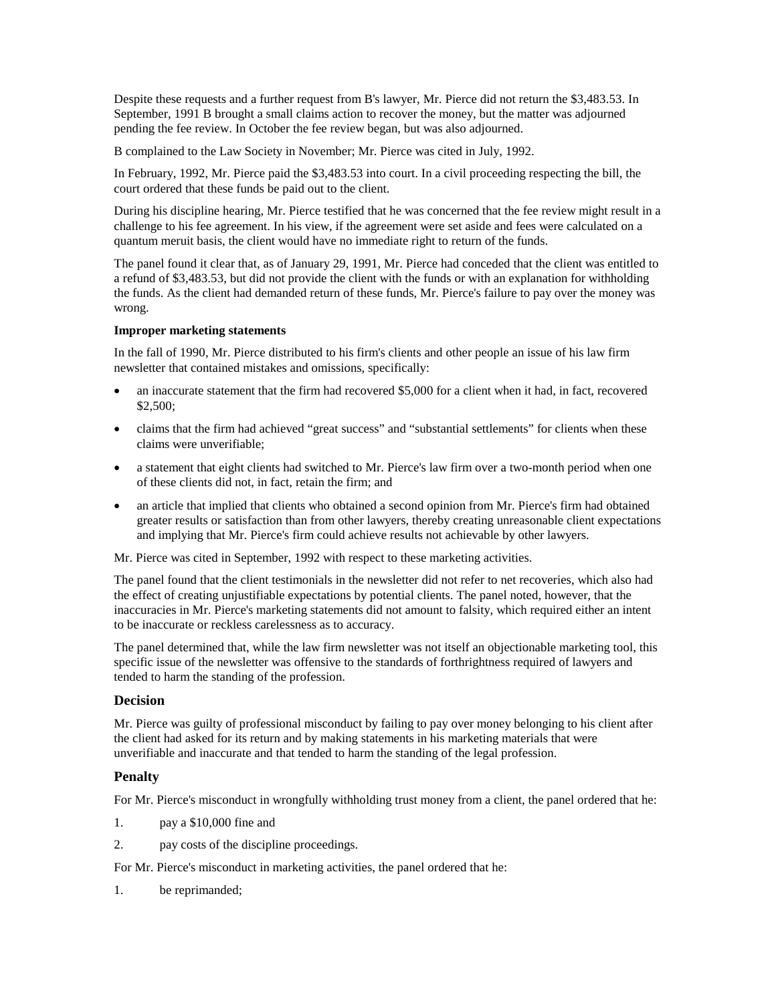Despite these requests and a further request from B's lawyer, Mr. Pierce did not return the \$3,483.53. In September, 1991 B brought a small claims action to recover the money, but the matter was adjourned pending the fee review. In October the fee review began, but was also adjourned.

B complained to the Law Society in November; Mr. Pierce was cited in July, 1992.

In February, 1992, Mr. Pierce paid the \$3,483.53 into court. In a civil proceeding respecting the bill, the court ordered that these funds be paid out to the client.

During his discipline hearing, Mr. Pierce testified that he was concerned that the fee review might result in a challenge to his fee agreement. In his view, if the agreement were set aside and fees were calculated on a quantum meruit basis, the client would have no immediate right to return of the funds.

The panel found it clear that, as of January 29, 1991, Mr. Pierce had conceded that the client was entitled to a refund of \$3,483.53, but did not provide the client with the funds or with an explanation for withholding the funds. As the client had demanded return of these funds, Mr. Pierce's failure to pay over the money was wrong.

### **Improper marketing statements**

In the fall of 1990, Mr. Pierce distributed to his firm's clients and other people an issue of his law firm newsletter that contained mistakes and omissions, specifically:

- an inaccurate statement that the firm had recovered \$5,000 for a client when it had, in fact, recovered \$2,500;
- claims that the firm had achieved "great success" and "substantial settlements" for clients when these claims were unverifiable;
- a statement that eight clients had switched to Mr. Pierce's law firm over a two-month period when one of these clients did not, in fact, retain the firm; and
- an article that implied that clients who obtained a second opinion from Mr. Pierce's firm had obtained greater results or satisfaction than from other lawyers, thereby creating unreasonable client expectations and implying that Mr. Pierce's firm could achieve results not achievable by other lawyers.

Mr. Pierce was cited in September, 1992 with respect to these marketing activities.

The panel found that the client testimonials in the newsletter did not refer to net recoveries, which also had the effect of creating unjustifiable expectations by potential clients. The panel noted, however, that the inaccuracies in Mr. Pierce's marketing statements did not amount to falsity, which required either an intent to be inaccurate or reckless carelessness as to accuracy.

The panel determined that, while the law firm newsletter was not itself an objectionable marketing tool, this specific issue of the newsletter was offensive to the standards of forthrightness required of lawyers and tended to harm the standing of the profession.

# **Decision**

Mr. Pierce was guilty of professional misconduct by failing to pay over money belonging to his client after the client had asked for its return and by making statements in his marketing materials that were unverifiable and inaccurate and that tended to harm the standing of the legal profession.

# **Penalty**

For Mr. Pierce's misconduct in wrongfully withholding trust money from a client, the panel ordered that he:

- 1. pay a \$10,000 fine and
- 2. pay costs of the discipline proceedings.

For Mr. Pierce's misconduct in marketing activities, the panel ordered that he:

1. be reprimanded;